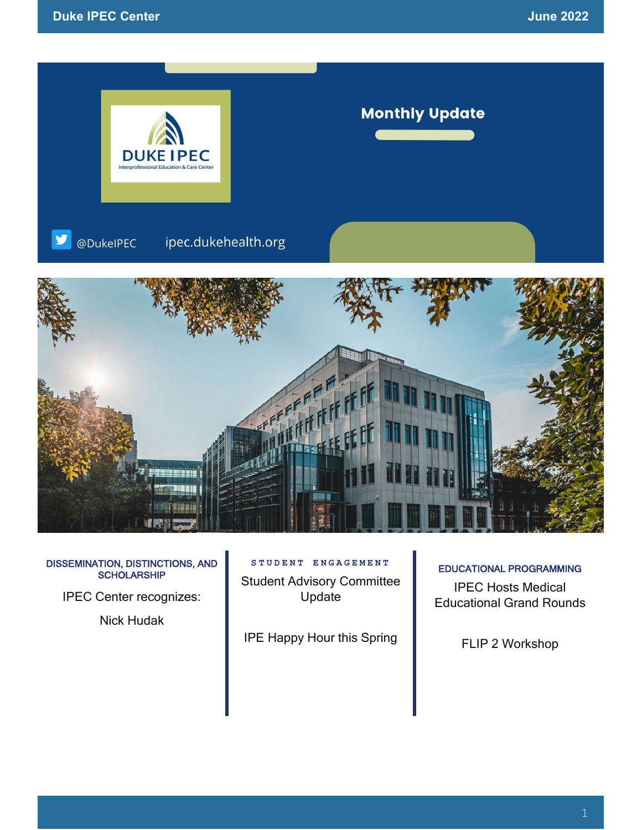

#### DISSEMINATION, DISTINCTIONS, AND **SCHOLARSHIP**

IPEC Center recognizes:

Nick Hudak

### **STUDENT ENGAGEMENT**

Student Advisory Committee Update

IPE Happy Hour this Spring

#### EDUCATIONAL PROGRAMMING

IPEC Hosts Medical Educational Grand Rounds

FLIP 2 Workshop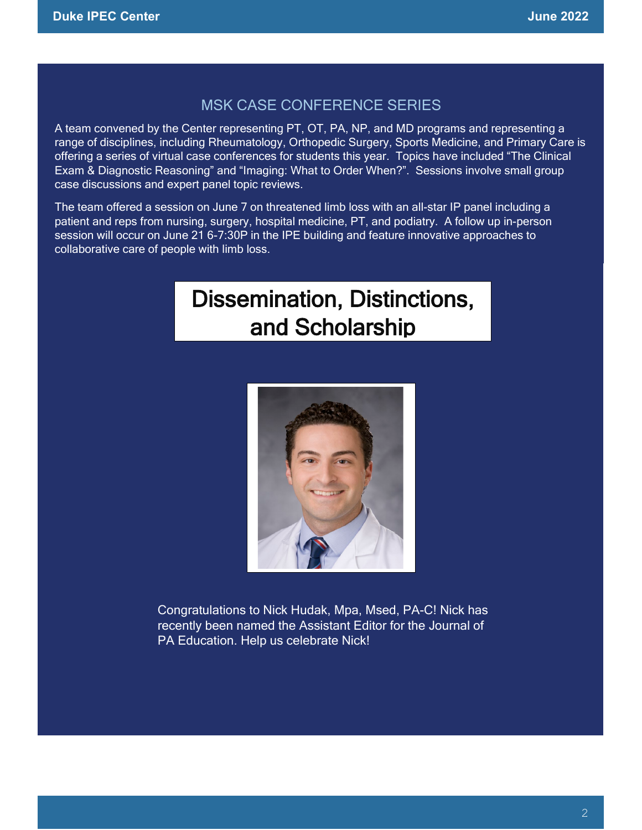### MSK CASE CONFERENCE SERIES

A team convened by the Center representing PT, OT, PA, NP, and MD programs and representing a range of disciplines, including Rheumatology, Orthopedic Surgery, Sports Medicine, and Primary Care is offering a series of virtual case conferences for students this year. Topics have included "The Clinical Exam & Diagnostic Reasoning" and "Imaging: What to Order When?". Sessions involve small group case discussions and expert panel topic reviews.

The team offered a session on June 7 on threatened limb loss with an all-star IP panel including a patient and reps from nursing, surgery, hospital medicine, PT, and podiatry. A follow up in-person session will occur on June 21 6-7:30P in the IPE building and feature innovative approaches to collaborative care of people with limb loss.

# Dissemination, Distinctions, and Scholarship



Congratulations to Nick Hudak, Mpa, Msed, PA-C! Nick has recently been named the Assistant Editor for the Journal of PA Education. Help us celebrate Nick!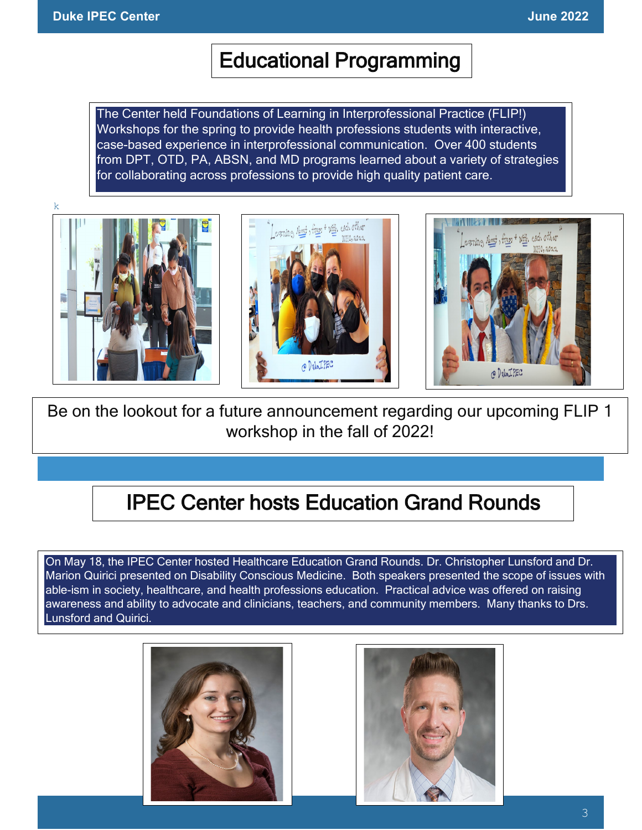### Educational Programming

The Center held Foundations of Learning in Interprofessional Practice (FLIP!) Workshops for the spring to provide health professions students with interactive, case-based experience in interprofessional communication. Over 400 students from DPT, OTD, PA, ABSN, and MD programs learned about a variety of strategies for collaborating across professions to provide high quality patient care.









Be on the lookout for a future announcement regarding our upcoming FLIP 1 workshop in the fall of 2022!

## IPEC Center hosts Education Grand Rounds

On May 18, the IPEC Center hosted Healthcare Education Grand Rounds. Dr. Christopher Lunsford and Dr. Marion Quirici presented on Disability Conscious Medicine. Both speakers presented the scope of issues with able-ism in society, healthcare, and health professions education. Practical advice was offered on raising awareness and ability to advocate and clinicians, teachers, and community members. Many thanks to Drs. Lunsford and Quirici.